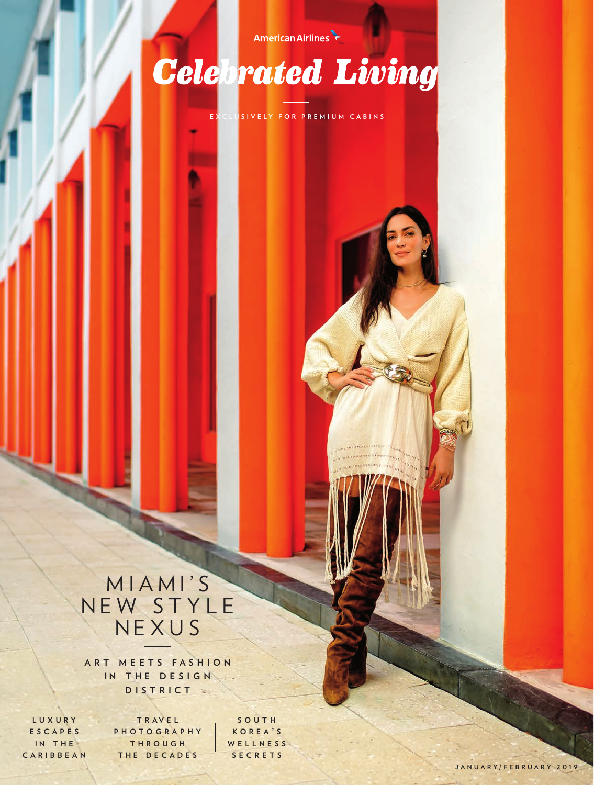### American Airlines

# **Celebrated Living**

**EXCLUSIVELY FOR PREMIUM CABINS**

### MIAMI'S NEW STYLE NEXU S

**a r t m e e t s f a s h i o n IN THE DESIGN** D I S T R I C T

**l u x u r y e s c a p e s iN** THE **c a r i b b e a n**

**t r a v e l p h o t o g r a p h y t h r o u g h** THE DECADES

**s o u t h k o r e a ' s w e l l n e s s s e c r e t s**